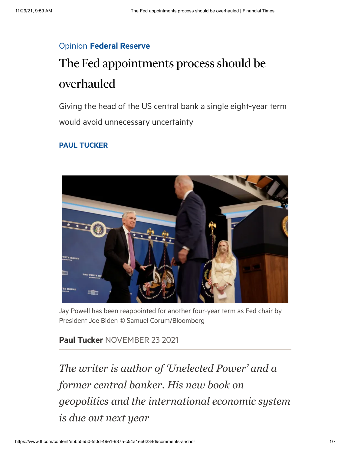## Opinion Federal [Reserve](https://www.ft.com/stream/e5533208-e5cc-4be5-aea1-c464a9a205e3)

## The Fed appointments process should be overhauled

Giving the head of the US central bank a single eight-year term would avoid unnecessary uncertainty

## PAUL [TUCKER](https://www.ft.com/topics/people/Paul_Tucker)



Jay Powell has been reappointed for another four-year term as Fed chair by President Joe Biden © Samuel Corum/Bloomberg

## Paul [Tucker](https://www.ft.com/topics/people/Paul_Tucker) NOVEMBER 23 2021

*The writer is author of 'Unelected Power' and a former central banker. His new book on geopolitics and the international economic system is due out next year*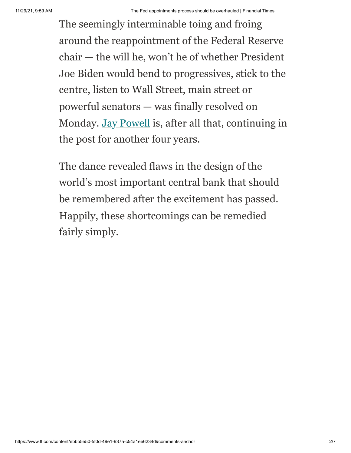The seemingly interminable toing and froing around the reappointment of the Federal Reserve chair — the will he, won't he of whether President Joe Biden would bend to progressives, stick to the centre, listen to Wall Street, main street or powerful senators — was finally resolved on Monday. [Jay Powell](https://www.ft.com/content/9e9540a2-2ba8-4e0e-84d8-a1945c20453a) is, after all that, continuing in the post for another four years.

The dance revealed flaws in the design of the world's most important central bank that should be remembered after the excitement has passed. Happily, these shortcomings can be remedied fairly simply.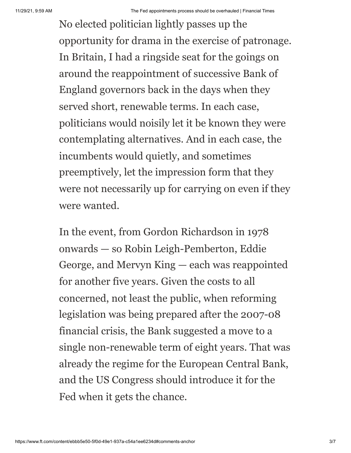No elected politician lightly passes up the opportunity for drama in the exercise of patronage. In Britain, I had a ringside seat for the goings on around the reappointment of successive Bank of England governors back in the days when they served short, renewable terms. In each case, politicians would noisily let it be known they were contemplating alternatives. And in each case, the incumbents would quietly, and sometimes preemptively, let the impression form that they were not necessarily up for carrying on even if they were wanted.

In the event, from Gordon Richardson in 1978 onwards — so Robin Leigh-Pemberton, Eddie George, and Mervyn King — each was reappointed for another five years. Given the costs to all concerned, not least the public, when reforming legislation was being prepared after the 2007-08 financial crisis, the Bank suggested a move to a single non-renewable term of eight years. That was already the regime for the European Central Bank, and the US Congress should introduce it for the Fed when it gets the chance.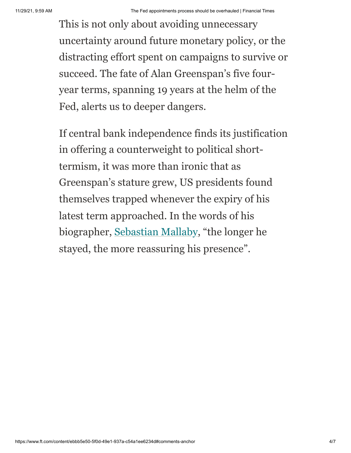This is not only about avoiding unnecessary uncertainty around future monetary policy, or the distracting effort spent on campaigns to survive or succeed. The fate of Alan Greenspan's five fouryear terms, spanning 19 years at the helm of the Fed, alerts us to deeper dangers.

If central bank independence finds its justification in offering a counterweight to political shorttermism, it was more than ironic that as Greenspan's stature grew, US presidents found themselves trapped whenever the expiry of his latest term approached. In the words of his biographer, [Sebastian Mallaby,](https://www.ft.com/content/7f8f4918-8bcb-11e6-8cb7-e7ada1d123b1) "the longer he stayed, the more reassuring his presence".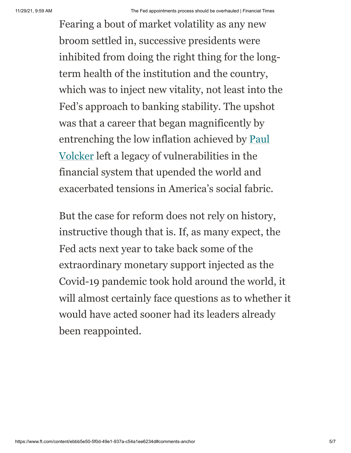Fearing a bout of market volatility as any new broom settled in, successive presidents were inhibited from doing the right thing for the longterm health of the institution and the country, which was to inject new vitality, not least into the Fed's approach to banking stability. The upshot was that a career that began magnificently by [entrenching the low inflation achieved by Paul](https://www.ft.com/content/b232c6f6-1a98-11ea-9186-7348c2f183af) Volcker left a legacy of vulnerabilities in the financial system that upended the world and exacerbated tensions in America's social fabric.

But the case for reform does not rely on history, instructive though that is. If, as many expect, the Fed acts next year to take back some of the extraordinary monetary support injected as the Covid-19 pandemic took hold around the world, it will almost certainly face questions as to whether it would have acted sooner had its leaders already been reappointed.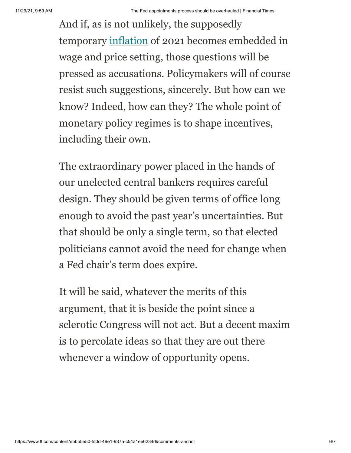And if, as is not unlikely, the supposedly temporary [inflation](https://www.ft.com/content/dc3bedc7-5694-4868-8b86-f9a215966f52) of 2021 becomes embedded in wage and price setting, those questions will be pressed as accusations. Policymakers will of course resist such suggestions, sincerely. But how can we know? Indeed, how can they? The whole point of monetary policy regimes is to shape incentives, including their own.

The extraordinary power placed in the hands of our unelected central bankers requires careful design. They should be given terms of office long enough to avoid the past year's uncertainties. But that should be only a single term, so that elected politicians cannot avoid the need for change when a Fed chair's term does expire.

It will be said, whatever the merits of this argument, that it is beside the point since a sclerotic Congress will not act. But a decent maxim is to percolate ideas so that they are out there whenever a window of opportunity opens.